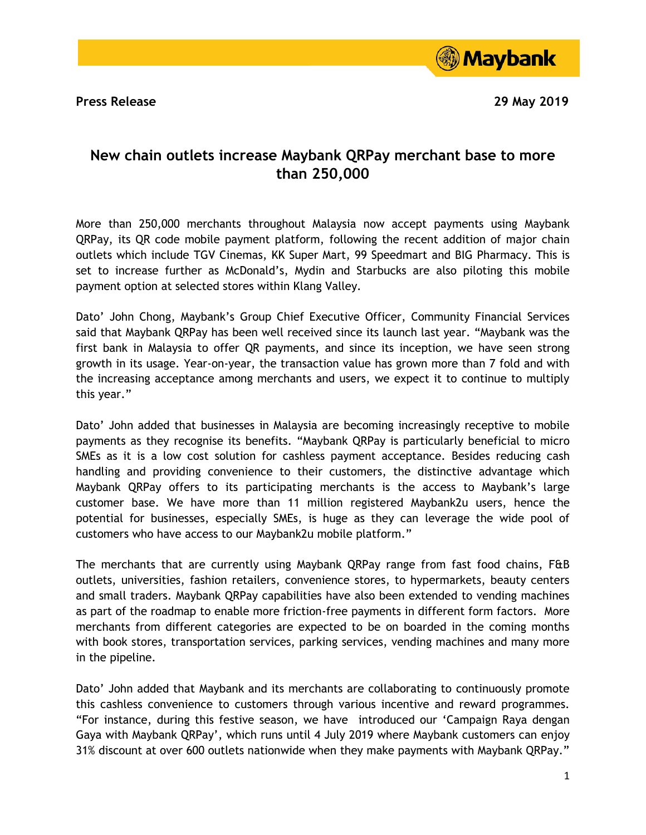**Press Release 29 May 2019**



## **New chain outlets increase Maybank QRPay merchant base to more than 250,000**

More than 250,000 merchants throughout Malaysia now accept payments using Maybank QRPay, its QR code mobile payment platform, following the recent addition of major chain outlets which include TGV Cinemas, KK Super Mart, 99 Speedmart and BIG Pharmacy. This is set to increase further as McDonald's, Mydin and Starbucks are also piloting this mobile payment option at selected stores within Klang Valley.

Dato' John Chong, Maybank's Group Chief Executive Officer, Community Financial Services said that Maybank QRPay has been well received since its launch last year. "Maybank was the first bank in Malaysia to offer QR payments, and since its inception, we have seen strong growth in its usage. Year-on-year, the transaction value has grown more than 7 fold and with the increasing acceptance among merchants and users, we expect it to continue to multiply this year."

Dato' John added that businesses in Malaysia are becoming increasingly receptive to mobile payments as they recognise its benefits. "Maybank QRPay is particularly beneficial to micro SMEs as it is a low cost solution for cashless payment acceptance. Besides reducing cash handling and providing convenience to their customers, the distinctive advantage which Maybank QRPay offers to its participating merchants is the access to Maybank's large customer base. We have more than 11 million registered Maybank2u users, hence the potential for businesses, especially SMEs, is huge as they can leverage the wide pool of customers who have access to our Maybank2u mobile platform."

The merchants that are currently using Maybank QRPay range from fast food chains, F&B outlets, universities, fashion retailers, convenience stores, to hypermarkets, beauty centers and small traders. Maybank QRPay capabilities have also been extended to vending machines as part of the roadmap to enable more friction-free payments in different form factors. More merchants from different categories are expected to be on boarded in the coming months with book stores, transportation services, parking services, vending machines and many more in the pipeline.

Dato' John added that Maybank and its merchants are collaborating to continuously promote this cashless convenience to customers through various incentive and reward programmes. "For instance, during this festive season, we have introduced our 'Campaign Raya dengan Gaya with Maybank QRPay', which runs until 4 July 2019 where Maybank customers can enjoy 31% discount at over 600 outlets nationwide when they make payments with Maybank QRPay."